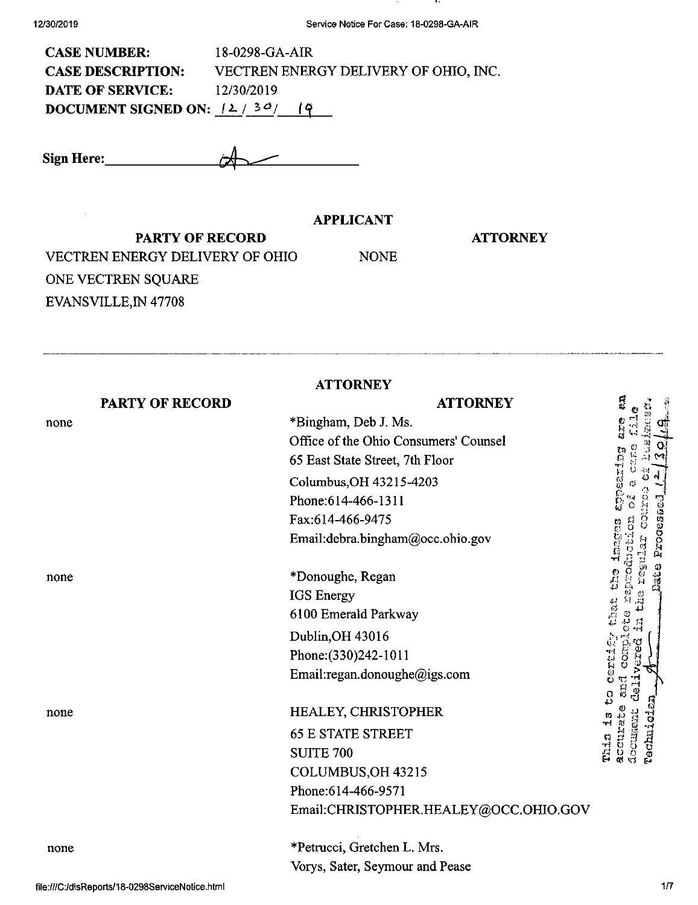$\bar{z}$ 

. . .

| <b>CASE NUMBER:</b>             | 18-0298-GA-AIR                        |
|---------------------------------|---------------------------------------|
| <b>CASE DESCRIPTION:</b>        | VECTREN ENERGY DELIVERY OF OHIO, INC. |
| <b>DATE OF SERVICE:</b>         | 12/30/2019                            |
| DOCUMENT SIGNED ON: $(2/30/19)$ |                                       |

Sign Here:

**APPLICANT**

NONE

## **ATTORNEY**

PARTY OF RECORD VECTREN ENERGY DELIVERY OF OHIO ONE VECTREN SQUARE EVANSVILLE, IN 47708

**ATTORNEY**

|      | <b>PARTY OF RECORD</b> | <b>ATTORNEY</b>                       | r<br>e                                  |
|------|------------------------|---------------------------------------|-----------------------------------------|
| none |                        | *Bingham, Deb J. Ms.                  | ers<br>پيد                              |
|      |                        | Office of the Ohio Consumers' Counsel |                                         |
|      |                        | 65 East State Street, 7th Floor       | t.                                      |
|      |                        | Columbus, OH 43215-4203               | pearing                                 |
|      |                        | Phone: 614-466-1311                   |                                         |
|      |                        | Fax:614-466-9475                      | ءِ<br>ن                                 |
|      |                        | Email:debra.bingham@occ.ohio.gov      | Processed                               |
|      |                        |                                       |                                         |
| none |                        | *Donoughe, Regan                      | Daue                                    |
|      |                        | <b>IGS</b> Energy                     | $\frac{c}{4}$                           |
|      |                        | 6100 Emerald Parkway                  | بری<br>انہ<br>برا                       |
|      |                        | Dublin, OH 43016                      | ្លូ                                     |
|      |                        | Phone: (330) 242-1011                 | <b>SOLUTION</b><br>CORD                 |
|      |                        | Email:regan.donoughe@igs.com          | 17                                      |
| none |                        | HEALEY, CHRISTOPHER                   | ္သ<br>m                                 |
|      |                        | <b>65 E STATE STREET</b>              |                                         |
|      |                        | <b>SUITE 700</b>                      | Technici<br>docusent<br>accurat<br>This |
|      |                        | COLUMBUS, OH 43215                    |                                         |
|      |                        | Phone: 614-466-9571                   |                                         |
|      |                        | Email:CHRISTOPHER.HEALEY@OCC.OHIO.GOV |                                         |
| none |                        | *Petrucci, Gretchen L. Mrs.           |                                         |
|      |                        | Vorys, Sater, Seymour and Pease       |                                         |
|      |                        |                                       |                                         |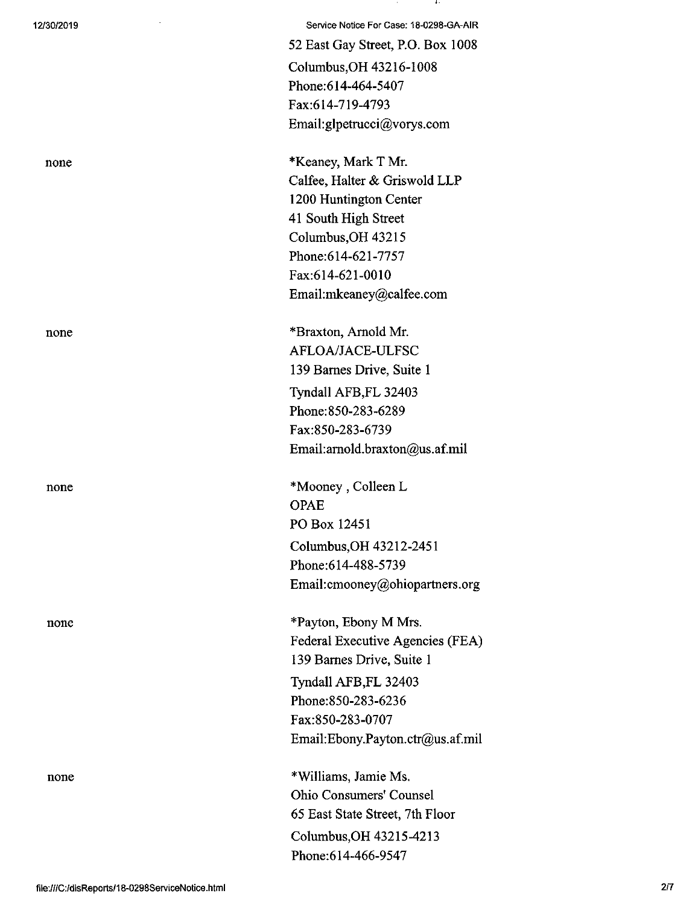12/30/2019 Service Notice For Case; 18-0298-GA-AIR 52 East Gay Street, RO. Box 1008 Columbus,OH 43216-1008 Phone:614-464-5407 Fax:614-719-4793 Email:glpetrucci@vorys.com

none \*Keaney, Mark T Mr. Calfee, Halter & Griswold LLP 1200 Huntington Center 41 South High Street Columbus,OH 43215 Phone:614-621-7757 Fax:614-621-0010 Email:mkeaney@calfee.com

none \*Braxton, Arnold Mr. AFLOA/JACE-ULFSC 139 Barnes Drive, Suite <sup>1</sup> Tyndall AFB,FL 32403 Phone:850-283-6289 Fax:850-283-6739 Email:amold.braxton@us.af.mil

none \*Mooney, Colleen L OPAE PO Box 12451 Columbus,OH 43212-2451 Phone:614-488-5739 Email:cmooney@ohiopartners.org

none \*Payton, Ebony M Mrs. Federal Executive Agencies (FEA) 139 Barnes Drive, Suite <sup>1</sup> Tyndall AFB,FL 32403 Phone:850-283-6236 Fax:850-283-0707 Email:Ebony.Payton.ctr@us.af.mil

none \*Williams, Jamie Ms. Ohio Consumers' Counsel 65 East State Street, 7th Floor Columbus,OH 43215-4213 Phone:614-466-9547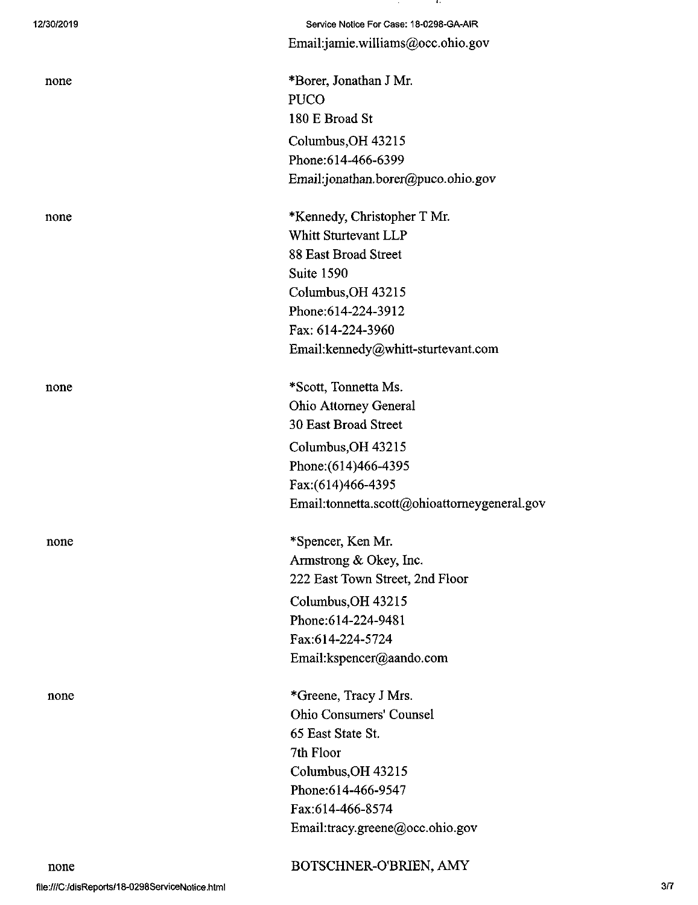| 12/30/2019 | Service Notice For Case: 18-0298-GA-AIR      |
|------------|----------------------------------------------|
|            | Email:jamie.williams@occ.ohio.gov            |
|            |                                              |
| none       | *Borer, Jonathan J Mr.                       |
|            | <b>PUCO</b>                                  |
|            | 180 E Broad St                               |
|            | Columbus, OH 43215                           |
|            | Phone: 614-466-6399                          |
|            | Email:jonathan.borer@puco.ohio.gov           |
| none       | *Kennedy, Christopher T Mr.                  |
|            | Whitt Sturtevant LLP                         |
|            | 88 East Broad Street                         |
|            | Suite 1590                                   |
|            | Columbus, OH 43215                           |
|            | Phone:614-224-3912                           |
|            | Fax: 614-224-3960                            |
|            | Email:kennedy@whitt-sturtevant.com           |
| none       | *Scott, Tonnetta Ms.                         |
|            | <b>Ohio Attorney General</b>                 |
|            | <b>30 East Broad Street</b>                  |
|            | Columbus, OH 43215                           |
|            | Phone: (614)466-4395                         |
|            | Fax:(614)466-4395                            |
|            | Email:tonnetta.scott@ohioattorneygeneral.gov |
| none       | *Spencer, Ken Mr.                            |
|            | Armstrong & Okey, Inc.                       |
|            | 222 East Town Street, 2nd Floor              |
|            | Columbus, OH 43215                           |
|            | Phone:614-224-9481                           |
|            | Fax:614-224-5724                             |
|            | Email:kspencer@aando.com                     |
| none       | *Greene, Tracy J Mrs.                        |
|            | Ohio Consumers' Counsel                      |
|            | 65 East State St.                            |
|            | 7th Floor                                    |
|            | Columbus, OH 43215                           |
|            | Phone: 614-466-9547                          |
|            | Fax:614-466-8574                             |
|            | Email:tracy.greene@occ.ohio.gov              |
| none       | BOTSCHNER-O'BRIEN, AMY                       |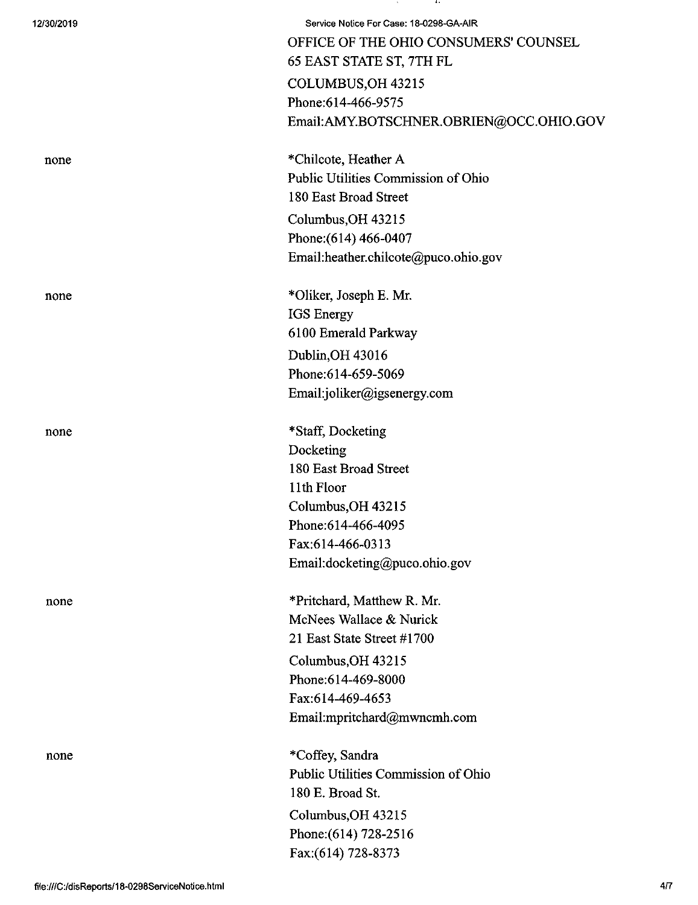| 12/30/2019 | Service Notice For Case: 18-0298-GA-AIR<br>OFFICE OF THE OHIO CONSUMERS' COUNSEL<br>65 EAST STATE ST, 7TH FL |
|------------|--------------------------------------------------------------------------------------------------------------|
|            | COLUMBUS, OH 43215                                                                                           |
|            | Phone: 614-466-9575                                                                                          |
|            | Email:AMY.BOTSCHNER.OBRIEN@OCC.OHIO.GOV                                                                      |
| none       | *Chilcote, Heather A                                                                                         |
|            | Public Utilities Commission of Ohio                                                                          |
|            | 180 East Broad Street                                                                                        |
|            | Columbus, OH 43215                                                                                           |
|            | Phone: (614) 466-0407                                                                                        |
|            | Email:heather.chilcote@puco.ohio.gov                                                                         |
| none       | *Oliker, Joseph E. Mr.                                                                                       |
|            | IGS Energy                                                                                                   |
|            | 6100 Emerald Parkway                                                                                         |
|            | Dublin, OH 43016                                                                                             |
|            | Phone:614-659-5069                                                                                           |
|            | Email:joliker@igsenergy.com                                                                                  |
| none       | *Staff, Docketing                                                                                            |
|            | Docketing                                                                                                    |
|            | 180 East Broad Street                                                                                        |
|            | 11th Floor                                                                                                   |
|            | Columbus, OH 43215                                                                                           |
|            | Phone: 614-466-4095                                                                                          |
|            | Fax:614-466-0313<br>Email:docketing@puco.ohio.gov                                                            |
| none       | *Pritchard, Matthew R. Mr.                                                                                   |
|            | McNees Wallace & Nurick                                                                                      |
|            | 21 East State Street #1700                                                                                   |
|            | Columbus, OH 43215                                                                                           |
|            | Phone:614-469-8000                                                                                           |
|            | Fax:614-469-4653                                                                                             |
|            | Email:mpritchard@mwncmh.com                                                                                  |
| none       | *Coffey, Sandra                                                                                              |
|            | Public Utilities Commission of Ohio                                                                          |
|            | 180 E. Broad St.                                                                                             |
|            | Columbus, OH 43215                                                                                           |
|            | Phone: (614) 728-2516                                                                                        |
|            | Fax:(614) 728-8373                                                                                           |

**CALL** 

**Contract**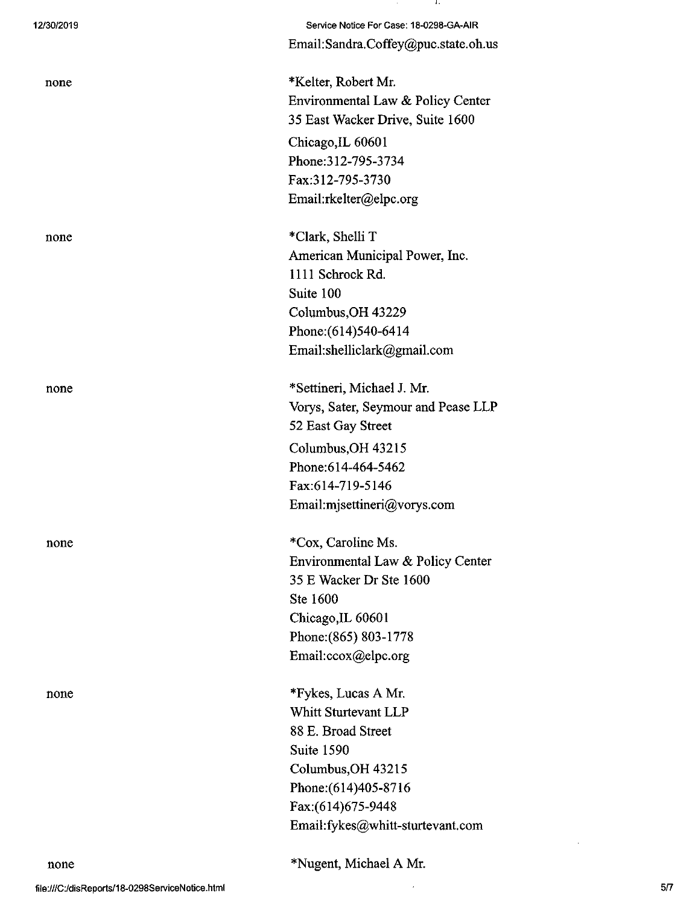| 12/30/2019 | Service Notice For Case: 18-0298-GA-AIR |
|------------|-----------------------------------------|
|            | Email:Sandra.Coffey@puc.state.oh.us     |
| none       | *Kelter, Robert Mr.                     |
|            | Environmental Law & Policy Center       |
|            | 35 East Wacker Drive, Suite 1600        |
|            | Chicago, IL 60601                       |
|            | Phone: 312-795-3734                     |
|            | Fax:312-795-3730                        |
|            | Email:rkelter@elpc.org                  |
| none       | *Clark, Shelli T                        |
|            | American Municipal Power, Inc.          |
|            | 1111 Schrock Rd.                        |
|            | Suite 100                               |
|            | Columbus, OH 43229                      |
|            | Phone: (614) 540-6414                   |
|            | Email:shelliclark@gmail.com             |
| none       | *Settineri, Michael J. Mr.              |
|            | Vorys, Sater, Seymour and Pease LLP     |
|            | 52 East Gay Street                      |
|            | Columbus, OH 43215                      |
|            | Phone:614-464-5462                      |
|            | Fax:614-719-5146                        |
|            | Email:mjsettineri@vorys.com             |
| none       | *Cox, Caroline Ms.                      |
|            | Environmental Law & Policy Center       |
|            | 35 E Wacker Dr Ste 1600                 |
|            | Ste 1600                                |
|            | Chicago, IL 60601                       |
|            | Phone: (865) 803-1778                   |
|            | Email:ccox@elpc.org                     |
| none       | *Fykes, Lucas A Mr.                     |
|            | <b>Whitt Sturtevant LLP</b>             |
|            | 88 E. Broad Street                      |
|            | Suite 1590                              |
|            | Columbus, OH 43215                      |
|            | Phone: (614) 405-8716                   |
|            | Fax: (614) 675-9448                     |
|            | Email:fykes@whitt-sturtevant.com        |
|            |                                         |

\*Nugent, Michael A Mr.

 $\hat{\boldsymbol{\beta}}$ 

 $\sim$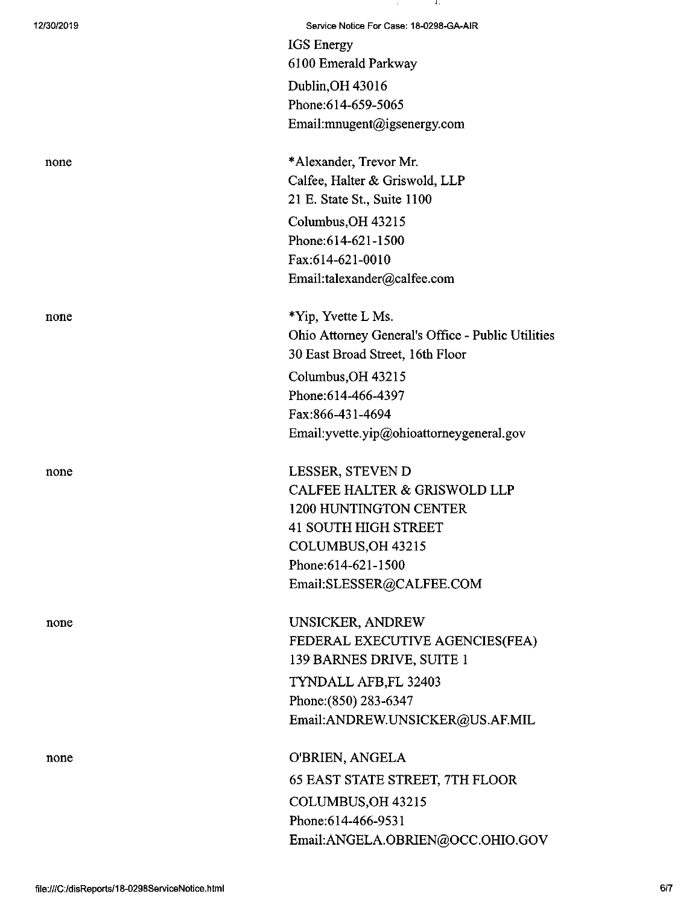| 12/30/2019 | Service Notice For Case: 18-0298-GA-AIR           |
|------------|---------------------------------------------------|
|            | <b>IGS</b> Energy                                 |
|            | 6100 Emerald Parkway                              |
|            | Dublin, OH 43016                                  |
|            | Phone: 614-659-5065                               |
|            | Email:mnugent@igsenergy.com                       |
|            |                                                   |
| none       | *Alexander, Trevor Mr.                            |
|            | Calfee, Halter & Griswold, LLP                    |
|            | 21 E. State St., Suite 1100                       |
|            | Columbus, OH 43215                                |
|            | Phone: 614-621-1500                               |
|            | Fax:614-621-0010                                  |
|            | Email:talexander@calfee.com                       |
|            |                                                   |
| none       | *Yip, Yvette L Ms.                                |
|            | Ohio Attorney General's Office - Public Utilities |
|            | 30 East Broad Street, 16th Floor                  |
|            | Columbus, OH 43215                                |
|            | Phone:614-466-4397                                |
|            | Fax:866-431-4694                                  |
|            | Email: yvette.yip@ohioattorneygeneral.gov         |
|            |                                                   |
| none       | LESSER, STEVEN D                                  |
|            | <b>CALFEE HALTER &amp; GRISWOLD LLP</b>           |
|            | 1200 HUNTINGTON CENTER                            |
|            | 41 SOUTH HIGH STREET                              |
|            | COLUMBUS, OH 43215                                |
|            | Phone: 614-621-1500                               |
|            | Email:SLESSER@CALFEE.COM                          |
|            |                                                   |
| none       | UNSICKER, ANDREW                                  |
|            | FEDERAL EXECUTIVE AGENCIES(FEA)                   |
|            | 139 BARNES DRIVE, SUITE 1                         |
|            | TYNDALL AFB, FL 32403                             |
|            | Phone: (850) 283-6347                             |
|            | Email:ANDREW.UNSICKER@US.AF.MIL                   |
|            |                                                   |
| none       | O'BRIEN, ANGELA                                   |
|            | <b>65 EAST STATE STREET, 7TH FLOOR</b>            |
|            | COLUMBUS, OH 43215                                |
|            | Phone:614-466-9531                                |
|            | Email:ANGELA.OBRIEN@OCC.OHIO.GOV                  |
|            |                                                   |

 $\sim 10^{11}$  km s  $^{-1}$ 

and the property